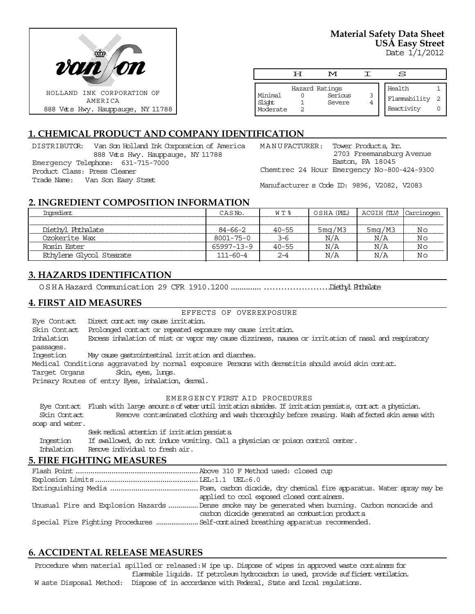

**Material Safety Data Sheet USA Easy Street**

Date 1/1/2012

|                                 | H | M                                   |   | S                                    |  |
|---------------------------------|---|-------------------------------------|---|--------------------------------------|--|
| Minimal<br>Slight<br>  Moderate |   | Hazard Ratings<br>Serious<br>Severe | 3 | Health<br>Flammability<br>Reactivity |  |

## **1. CHEMICAL PRODUCT AND COMPANY IDENTIFICATION**

DISTRIBUTOR: Van Son Holland Ink Corporation of America 888 Vets Hwy. Hauppauge, NY 11788 Emergency Telephone: 631-715-7000 Product Class: Press Cleaner Trade Name: Van Son Easy Street

| MANUFACTURER: |  |  | Tower Products, Inc.                       |
|---------------|--|--|--------------------------------------------|
|               |  |  | 2703 Freemansburg Avenue                   |
|               |  |  | Easton, PA 18045                           |
|               |  |  | Chemtrec 24 Hour Emergency No-800-424-9300 |

Manufacturer s Code ID: 9896, V2082, V2083

#### **2. INGREDIENT COMPOSITION INFORMATION**

| Ingredient               | CASN <sub>o</sub> . | W T %     | OSHA (PEL)          | ACGIH (TLV) | , Carcinogen |
|--------------------------|---------------------|-----------|---------------------|-------------|--------------|
|                          |                     |           |                     |             |              |
| Diethvl Phthalate        | $84 - 66 - 2$       | $40 - 55$ | 5 <sub>m</sub> q/M3 | 5mg/M3      | Νo           |
| Ozokerite Wax            | $8001 - 75 - 0$     | 3-6       | N/A                 | N/A         | No           |
| Rosin Ester              | 65997-13-9          | $40 - 55$ | N/A                 | N/A         | Νo           |
| Ethylene Glycol Stearate | $111 - 60 - 4$      | $2 - 4$   | N/A                 | N/A         | Νo           |

## **3. HAZARDS IDENTIFICATION**

OSHA Hazard Communication 29 CFR 1910.1200.....................................DiethylPhthalate

#### **4. FIRST AID MEASURES**

EFFECTS OF OVEREXPOSURE

Eye Contact Direct contact may cause irritation.

Skin Contact Prolonged contact or repeated exposure may cause irritation. Inhalation Excess inhalation of mist or vapor may cause dizziness, nausea or irritation of nasal and respiratory passages. Ingestion May cause gastrointestinal irritation and diarrhea. Medical Conditions aggravated by normal exposure Persons with dermatitis should avoid skin contact.

Target Organs Skin, eyes, lungs.

Primary Routes of entry Eyes, inhalation, demal.

#### EMERGENCY FIRST AID PROCEDURES

 Eye Contact Flush with large amounts of water until irritation subsides. If irritation persists, contact a physician. Skin Contact Remove contaminated clothing and wash thoroughly before reusing. Wash affected skin areas with soap and water.

Seek medical attention if irritation persists. Ingestion If swallowed, do not induce vomiting. Call a physician or poison control center. Inhalation Remove individual to fresh air.

#### **5. FIRE FIGHTING MEASURES**

| applied to cool exposed closed containers.                                                         |
|----------------------------------------------------------------------------------------------------|
| Unusual Fire and Explosion Hazards  Dense smoke may be generated when burning. Carbon monoxide and |
| carbon dioxide generated as combustion products                                                    |
|                                                                                                    |

# **6. ACCIDENTAL RELEASE MEASURES**

Procedure when material spilled or released: W ipe up. Dispose of wipes in approved waste containers for flammable liquids. If petroleum hydrocarbon is used, provide sufficient ventilation. W aste Disposal Method: Dispose of in accordance with Federal, State and Local regulations.